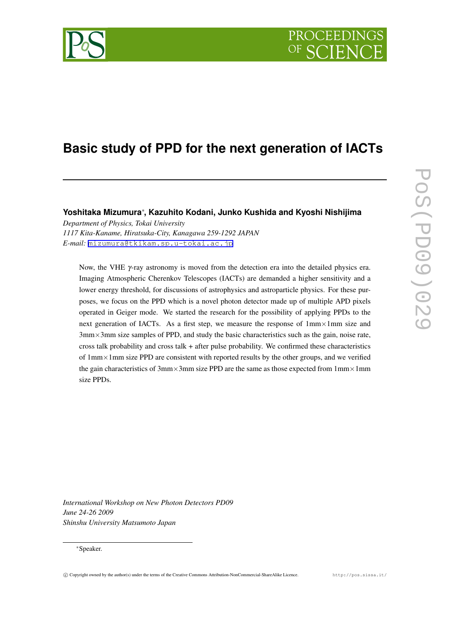

# **Basic study of PPD for the next generation of IACTs**

**Yoshitaka Mizumura***∗* **, Kazuhito Kodani, Junko Kushida and Kyoshi Nishijima**

*Department of Physics, Tokai University 1117 Kita-Kaname, Hiratsuka-City, Kanagawa 259-1292 JAPAN E-mail:* [mizumura@tkikam.sp.u-tokai.ac.jp](mailto:mizumura@tkikam.sp.u-tokai.ac.jp)

Now, the VHE  $\gamma$ -ray astronomy is moved from the detection era into the detailed physics era. Imaging Atmospheric Cherenkov Telescopes (IACTs) are demanded a higher sensitivity and a lower energy threshold, for discussions of astrophysics and astroparticle physics. For these purposes, we focus on the PPD which is a novel photon detector made up of multiple APD pixels operated in Geiger mode. We started the research for the possibility of applying PPDs to the next generation of IACTs. As a first step, we measure the response of 1mm*×*1mm size and 3mm*×*3mm size samples of PPD, and study the basic characteristics such as the gain, noise rate, cross talk probability and cross talk + after pulse probability. We confirmed these characteristics of 1mm*×*1mm size PPD are consistent with reported results by the other groups, and we verified the gain characteristics of 3mm*×*3mm size PPD are the same as those expected from 1mm*×*1mm size PPDs.

*International Workshop on New Photon Detectors PD09 June 24-26 2009 Shinshu University Matsumoto Japan*

#### *∗*Speaker.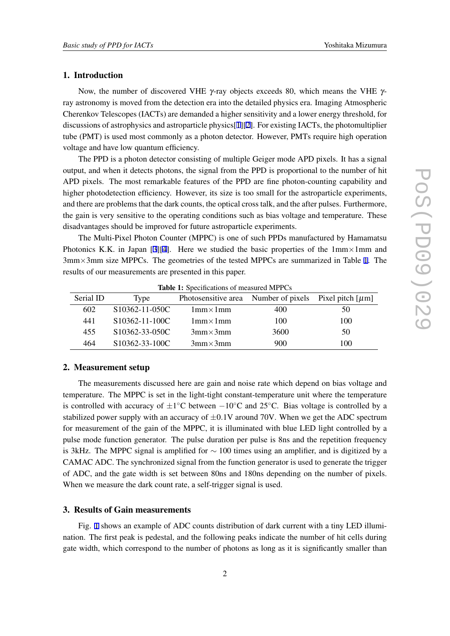## 1. Introduction

Now, the number of discovered VHE γ-ray objects exceeds 80, which means the VHE γray astronomy is moved from the detection era into the detailed physics era. Imaging Atmospheric Cherenkov Telescopes (IACTs) are demanded a higher sensitivity and a lower energy threshold, for discussions of astrophysics and astroparticle physics[[1](#page-5-0)][[2](#page-5-0)]. For existing IACTs, the photomultiplier tube (PMT) is used most commonly as a photon detector. However, PMTs require high operation voltage and have low quantum efficiency.

The PPD is a photon detector consisting of multiple Geiger mode APD pixels. It has a signal output, and when it detects photons, the signal from the PPD is proportional to the number of hit APD pixels. The most remarkable features of the PPD are fine photon-counting capability and higher photodetection efficiency. However, its size is too small for the astroparticle experiments, and there are problems that the dark counts, the optical cross talk, and the after pulses. Furthermore, the gain is very sensitive to the operating conditions such as bias voltage and temperature. These disadvantages should be improved for future astroparticle experiments.

The Multi-Pixel Photon Counter (MPPC) is one of such PPDs manufactured by Hamamatsu Photonics K.K. in Japan [\[3\]\[4\]](#page-5-0). Here we studied the basic properties of the 1mm*×*1mm and 3mm*×*3mm size MPPCs. The geometries of the tested MPPCs are summarized in Table 1. The results of our measurements are presented in this paper.

| Serial ID | Type                        | Photosensitive area Number of pixels Pixel pitch $[\mu m]$ |      |     |
|-----------|-----------------------------|------------------------------------------------------------|------|-----|
| 602       | S <sub>10362</sub> -11-050C | $1mm \times 1mm$                                           | 400  | 50  |
| 441       | $S10362 - 11 - 100C$        | $1mm \times 1mm$                                           | 100  | 100 |
| 455       | S10362-33-050C              | $3mm \times 3mm$                                           | 3600 | 50  |
| 464       | S10362-33-100C              | $3mm \times 3mm$                                           | 900  | 100 |

Table 1: Specifications of measured MPPCs

## 2. Measurement setup

The measurements discussed here are gain and noise rate which depend on bias voltage and temperature. The MPPC is set in the light-tight constant-temperature unit where the temperature is controlled with accuracy of *±*1 *◦*C between *−*10*◦*C and 25*◦*C. Bias voltage is controlled by a stabilized power supply with an accuracy of  $\pm 0.1V$  around 70V. When we get the ADC spectrum for measurement of the gain of the MPPC, it is illuminated with blue LED light controlled by a pulse mode function generator. The pulse duration per pulse is 8ns and the repetition frequency is 3kHz. The MPPC signal is amplified for *∼* 100 times using an amplifier, and is digitized by a CAMAC ADC. The synchronized signal from the function generator is used to generate the trigger of ADC, and the gate width is set between 80ns and 180ns depending on the number of pixels. When we measure the dark count rate, a self-trigger signal is used.

## 3. Results of Gain measurements

Fig. [1](#page-2-0) shows an example of ADC counts distribution of dark current with a tiny LED illumination. The first peak is pedestal, and the following peaks indicate the number of hit cells during gate width, which correspond to the number of photons as long as it is significantly smaller than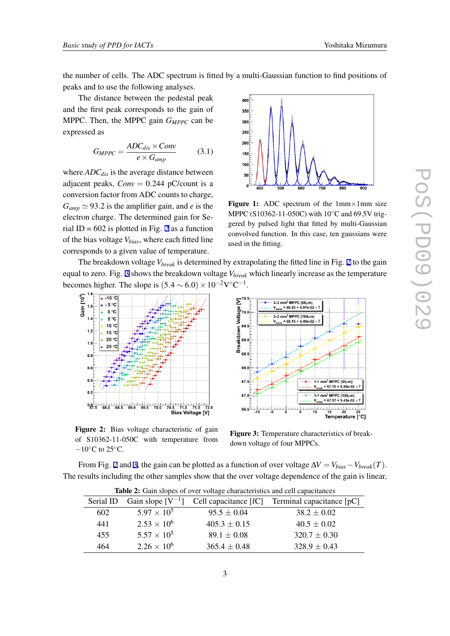<span id="page-2-0"></span>the number of cells. The ADC spectrum is fitted by a multi-Gaussian function to find positions of peaks and to use the following analyses.

The distance between the pedestal peak and the first peak corresponds to the gain of MPPC. Then, the MPPC gain *GMPPC* can be expressed as

$$
G_{MPPC} = \frac{ADC_{dis} \times Conv}{e \times G_{amp}} \tag{3.1}
$$

where *ADCdis* is the average distance between adjacent peaks,  $Conv = 0.244$  pC/count is a conversion factor from ADC counts to charge,  $G_{amp} \simeq 93.2$  is the amplifier gain, and *e* is the electron charge. The determined gain for Serial ID =  $602$  is plotted in Fig. 2 as a function of the bias voltage *Vbias*, where each fitted line corresponds to a given value of temperature.



Figure 1: ADC spectrum of the 1mm*×*1mm size MPPC (S10362-11-050C) with 10*◦*C and 69.5V triggered by pulsed light that fitted by multi-Gaussian convolved function. In this case, ten gaussians were used in the fitting.

The breakdown voltage *Vbreak* is determined by extrapolating the fitted line in Fig. 2 to the gain equal to zero. Fig. 3 shows the breakdown voltage *Vbreak* which linearly increase as the temperature becomes higher. The slope is  $(5.4 \sim 6.0) \times 10^{-2} \text{V}^{\circ}\text{C}^{-1}$ .

 $\Sigma^{70}$ 

wn Voltage

69.

69.0



Figure 2: Bias voltage characteristic of gain of S10362-11-050C with temperature from *−*10*◦*C to 25*◦*C.

Breakdoy 68.5 68.0  $67.5$  $1\times1$  mm <sup>'</sup> MPPC (50μm)  $= 67.70 + 5.50e$ 67.0  $1\times1$  mm<sup>2</sup> MPPC (100um  $= 67.57 + 5.43e-0.2$ 66.  $\frac{1}{20}$ Temperature [°C]

 $3\times3$  mm<sup>2</sup> MPPC (50 $\mu$ m)<br>V<sub>break</sub> = 68.43 + 5.97e-02

3×3 mm<sup>2</sup> MPPC (100μm)

 $-6815+5$ 

Figure 3: Temperature characteristics of breakdown voltage of four MPPCs.

From Fig. 2 and 3, the gain can be plotted as a function of over voltage  $\Delta V = V_{bias} - V_{break}(T)$ . The results including the other samples show that the over voltage dependence of the gain is linear,

| <b>Rapid 2.</b> Oain stopes of over voltage enaracteristics and cent capacitances |                                 |                  |                                                     |  |
|-----------------------------------------------------------------------------------|---------------------------------|------------------|-----------------------------------------------------|--|
|                                                                                   | Serial ID Gain slope $[V^{-1}]$ |                  | Cell capacitance $[fC]$ Terminal capacitance $[pC]$ |  |
| 602                                                                               | $5.97 \times 10^{5}$            | $95.5 \pm 0.04$  | $38.2 \pm 0.02$                                     |  |
| 441                                                                               | $2.53 \times 10^{6}$            | $405.3 \pm 0.15$ | $40.5 \pm 0.02$                                     |  |
| 455                                                                               | $5.57 \times 10^{5}$            | $89.1 \pm 0.08$  | $320.7 \pm 0.30$                                    |  |
| 464                                                                               | $2.26 \times 10^6$              | $365.4 \pm 0.48$ | $328.9 \pm 0.43$                                    |  |

Table 2: Gain slopes of over voltage characteristics and cell capacitances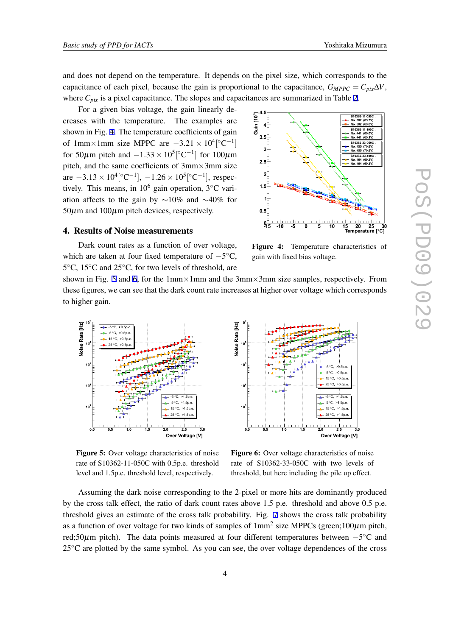and does not depend on the temperature. It depends on the pixel size, which corresponds to the capacitance of each pixel, because the gain is proportional to the capacitance,  $G_{MPPC} = C_{pix} \Delta V$ , where  $C_{pix}$  is a pixel capacitance. The slopes and capacitances are summarized in Table [2](#page-2-0).

For a given bias voltage, the gain linearly decreases with the temperature. The examples are shown in Fig. 4. The temperature coefficients of gain of 1mm×1mm size MPPC are  $-3.21 \times 10^4 [°C^{-1}]$ for 50 $\mu$ m pitch and  $-1.33 \times 10^5$ [ $\degree$ C<sup>-1</sup>] for 100 $\mu$ m pitch, and the same coefficients of 3mm*×*3mm size are  $-3.13 \times 10^4 [°C^{-1}]$ ,  $-1.26 \times 10^5 [°C^{-1}]$ , respectively. This means, in 10<sup>6</sup> gain operation, 3*◦*C variation affects to the gain by *∼*10% and *∼*40% for  $50\mu$ m and  $100\mu$ m pitch devices, respectively.

#### 4. Results of Noise measurements

Dark count rates as a function of over voltage, which are taken at four fixed temperature of *−*5 *◦*C, 5 *◦*C, 15*◦*C and 25*◦*C, for two levels of threshold, are



Figure 4: Temperature characteristics of gain with fixed bias voltage.

shown in Fig. 5 and 6, for the 1mm*×*1mm and the 3mm*×*3mm size samples, respectively. From these figures, we can see that the dark count rate increases at higher over voltage which corresponds to higher gain.



Figure 5: Over voltage characteristics of noise rate of S10362-11-050C with 0.5p.e. threshold level and 1.5p.e. threshold level, respectively.



Figure 6: Over voltage characteristics of noise rate of S10362-33-050C with two levels of threshold, but here including the pile up effect.

Assuming the dark noise corresponding to the 2-pixel or more hits are dominantly produced by the cross talk effect, the ratio of dark count rates above 1.5 p.e. threshold and above 0.5 p.e. threshold gives an estimate of the cross talk probability. Fig. [7](#page-4-0) shows the cross talk probability as a function of over voltage for two kinds of samples of  $1mm^2$  size MPPCs (green;100 $\mu$ m pitch, red;50µm pitch). The data points measured at four different temperatures between *−*5 *◦*C and 25*◦*C are plotted by the same symbol. As you can see, the over voltage dependences of the cross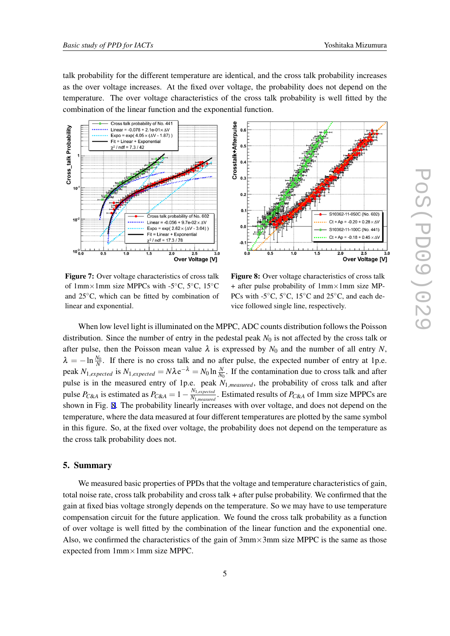<span id="page-4-0"></span>talk probability for the different temperature are identical, and the cross talk probability increases as the over voltage increases. At the fixed over voltage, the probability does not depend on the temperature. The over voltage characteristics of the cross talk probability is well fitted by the combination of the linear function and the exponential function.





Figure 7: Over voltage characteristics of cross talk of 1mm*×*1mm size MPPCs with -5*◦*C, 5*◦*C, 15*◦*C and 25*◦*C, which can be fitted by combination of linear and exponential.

Figure 8: Over voltage characteristics of cross talk + after pulse probability of 1mm*×*1mm size MP-PCs with -5*◦*C, 5*◦*C, 15*◦*C and 25*◦*C, and each device followed single line, respectively.

When low level light is illuminated on the MPPC, ADC counts distribution follows the Poisson distribution. Since the number of entry in the pedestal peak  $N_0$  is not affected by the cross talk or after pulse, then the Poisson mean value  $\lambda$  is expressed by  $N_0$  and the number of all entry N,  $\lambda = -\ln \frac{N_0}{N}$ . If there is no cross talk and no after pulse, the expected number of entry at 1p.e. peak  $N_{1, expected}$  is  $N_{1, expected} = N \lambda e^{-\lambda} = N_0 \ln \frac{N}{N_0}$ . If the contamination due to cross talk and after pulse is in the measured entry of 1p.e. peak *N*1*,measured*, the probability of cross talk and after pulse *P*<sub>*C*&*A*</sub> is estimated as  $P_{C\&A} = 1 - \frac{N_{1,expected}}{N_{1,measure}}$  $\frac{N_{1,expeated}}{N_{1,measured}}$ . Estimated results of *P<sub>C&A</sub>* of 1mm size MPPCs are shown in Fig. 8. The probability linearly increases with over voltage, and does not depend on the temperature, where the data measured at four different temperatures are plotted by the same symbol in this figure. So, at the fixed over voltage, the probability does not depend on the temperature as the cross talk probability does not.

## 5. Summary

We measured basic properties of PPDs that the voltage and temperature characteristics of gain, total noise rate, cross talk probability and cross talk + after pulse probability. We confirmed that the gain at fixed bias voltage strongly depends on the temperature. So we may have to use temperature compensation circuit for the future application. We found the cross talk probability as a function of over voltage is well fitted by the combination of the linear function and the exponential one. Also, we confirmed the characteristics of the gain of 3mm*×*3mm size MPPC is the same as those expected from 1mm*×*1mm size MPPC.